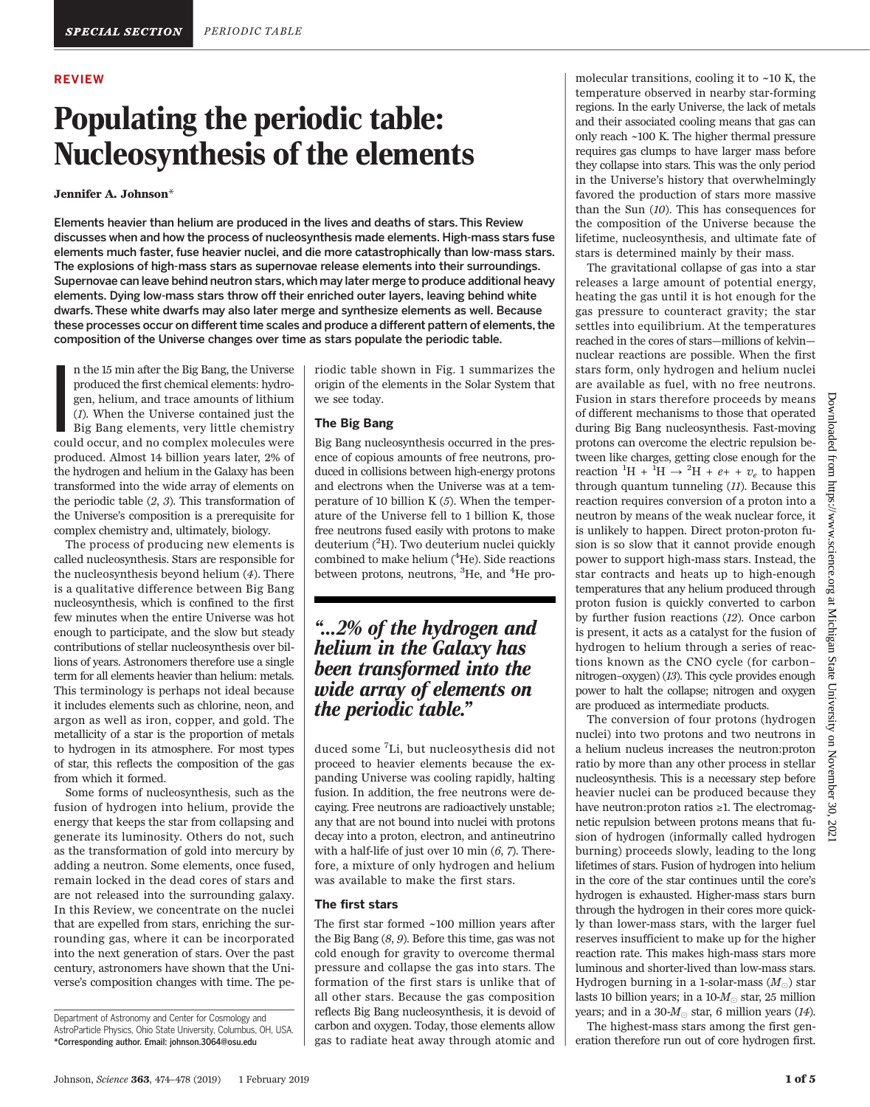#### REVIEW

# Populating the periodic table: Nucleosynthesis of the elements

#### Jennifer A. Johnson\*

Elements heavier than helium are produced in the lives and deaths of stars. This Review discusses when and how the process of nucleosynthesis made elements. High-mass stars fuse elements much faster, fuse heavier nuclei, and die more catastrophically than low-mass stars. The explosions of high-mass stars as supernovae release elements into their surroundings. Supernovae can leave behind neutron stars, which may later merge to produce additional heavy elements. Dying low-mass stars throw off their enriched outer layers, leaving behind white dwarfs. These white dwarfs may also later merge and synthesize elements as well. Because these processes occur on different time scales and produce a different pattern of elements, the composition of the Universe changes over time as stars populate the periodic table.

I n the 15 min after the Big Bang, the Universe produced the first chemical elements: hydrogen, helium, and trace amounts of lithium (1). When the Universe contained just the Big Bang elements, very little chemistry could occur, and no complex molecules were produced. Almost 14 billion years later, 2% of the hydrogen and helium in the Galaxy has been transformed into the wide array of elements on the periodic table (2, 3). This transformation of the Universe's composition is a prerequisite for complex chemistry and, ultimately, biology.

The process of producing new elements is called nucleosynthesis. Stars are responsible for the nucleosynthesis beyond helium (4). There is a qualitative difference between Big Bang nucleosynthesis, which is confined to the first few minutes when the entire Universe was hot enough to participate, and the slow but steady contributions of stellar nucleosynthesis over billions of years. Astronomers therefore use a single term for all elements heavier than helium: metals. This terminology is perhaps not ideal because it includes elements such as chlorine, neon, and argon as well as iron, copper, and gold. The metallicity of a star is the proportion of metals to hydrogen in its atmosphere. For most types of star, this reflects the composition of the gas from which it formed.

Some forms of nucleosynthesis, such as the fusion of hydrogen into helium, provide the energy that keeps the star from collapsing and generate its luminosity. Others do not, such as the transformation of gold into mercury by adding a neutron. Some elements, once fused, remain locked in the dead cores of stars and are not released into the surrounding galaxy. In this Review, we concentrate on the nuclei that are expelled from stars, enriching the surrounding gas, where it can be incorporated into the next generation of stars. Over the past century, astronomers have shown that the Universe's composition changes with time. The periodic table shown in Fig. 1 summarizes the origin of the elements in the Solar System that we see today.

#### The Big Bang

Big Bang nucleosynthesis occurred in the presence of copious amounts of free neutrons, produced in collisions between high-energy protons and electrons when the Universe was at a temperature of 10 billion  $K(5)$ . When the temperature of the Universe fell to 1 billion K, those free neutrons fused easily with protons to make deuterium (<sup>2</sup>H). Two deuterium nuclei quickly combined to make helium (<sup>4</sup>He). Side reactions between protons, neutrons, <sup>3</sup>He, and <sup>4</sup>He pro-

## "…2% of the hydrogen and helium in the Galaxy has been transformed into the wide array of elements on the periodic table."

duced some <sup>7</sup> Li, but nucleosythesis did not proceed to heavier elements because the expanding Universe was cooling rapidly, halting fusion. In addition, the free neutrons were decaying. Free neutrons are radioactively unstable; any that are not bound into nuclei with protons decay into a proton, electron, and antineutrino with a half-life of just over 10 min  $(6, 7)$ . Therefore, a mixture of only hydrogen and helium was available to make the first stars.

#### The first stars

The first star formed ~100 million years after the Big Bang (8, 9). Before this time, gas was not cold enough for gravity to overcome thermal pressure and collapse the gas into stars. The formation of the first stars is unlike that of all other stars. Because the gas composition reflects Big Bang nucleosynthesis, it is devoid of carbon and oxygen. Today, those elements allow gas to radiate heat away through atomic and

molecular transitions, cooling it to  $\sim$ 10 K, the temperature observed in nearby star-forming regions. In the early Universe, the lack of metals and their associated cooling means that gas can only reach ~100 K. The higher thermal pressure requires gas clumps to have larger mass before they collapse into stars. This was the only period in the Universe's history that overwhelmingly favored the production of stars more massive than the Sun (10). This has consequences for the composition of the Universe because the lifetime, nucleosynthesis, and ultimate fate of stars is determined mainly by their mass.

The gravitational collapse of gas into a star releases a large amount of potential energy, heating the gas until it is hot enough for the gas pressure to counteract gravity; the star settles into equilibrium. At the temperatures reached in the cores of stars—millions of kelvin nuclear reactions are possible. When the first stars form, only hydrogen and helium nuclei are available as fuel, with no free neutrons. Fusion in stars therefore proceeds by means of different mechanisms to those that operated during Big Bang nucleosynthesis. Fast-moving protons can overcome the electric repulsion between like charges, getting close enough for the reaction  ${}^{1}H + {}^{1}H \rightarrow {}^{2}H + e + + v_e$  to happen through quantum tunneling (11). Because this reaction requires conversion of a proton into a neutron by means of the weak nuclear force, it is unlikely to happen. Direct proton-proton fusion is so slow that it cannot provide enough power to support high-mass stars. Instead, the star contracts and heats up to high-enough temperatures that any helium produced through proton fusion is quickly converted to carbon by further fusion reactions (12). Once carbon is present, it acts as a catalyst for the fusion of hydrogen to helium through a series of reactions known as the CNO cycle (for carbon– nitrogen–oxygen) (13). This cycle provides enough power to halt the collapse; nitrogen and oxygen are produced as intermediate products.

The conversion of four protons (hydrogen nuclei) into two protons and two neutrons in a helium nucleus increases the neutron:proton ratio by more than any other process in stellar nucleosynthesis. This is a necessary step before heavier nuclei can be produced because they have neutron:proton ratios ≥1. The electromagnetic repulsion between protons means that fusion of hydrogen (informally called hydrogen burning) proceeds slowly, leading to the long lifetimes of stars. Fusion of hydrogen into helium in the core of the star continues until the core's hydrogen is exhausted. Higher-mass stars burn through the hydrogen in their cores more quickly than lower-mass stars, with the larger fuel reserves insufficient to make up for the higher reaction rate. This makes high-mass stars more luminous and shorter-lived than low-mass stars. Hydrogen burning in a 1-solar-mass  $(M_{\odot})$  star lasts 10 billion years; in a 10- $M_{\odot}$  star, 25 million years; and in a 30- $M_{\odot}$  star, 6 million years (14).

The highest-mass stars among the first generation therefore run out of core hydrogen first.

Department of Astronomy and Center for Cosmology and AstroParticle Physics, Ohio State University, Columbus, OH, USA. \*Corresponding author. Email: johnson.3064@osu.edu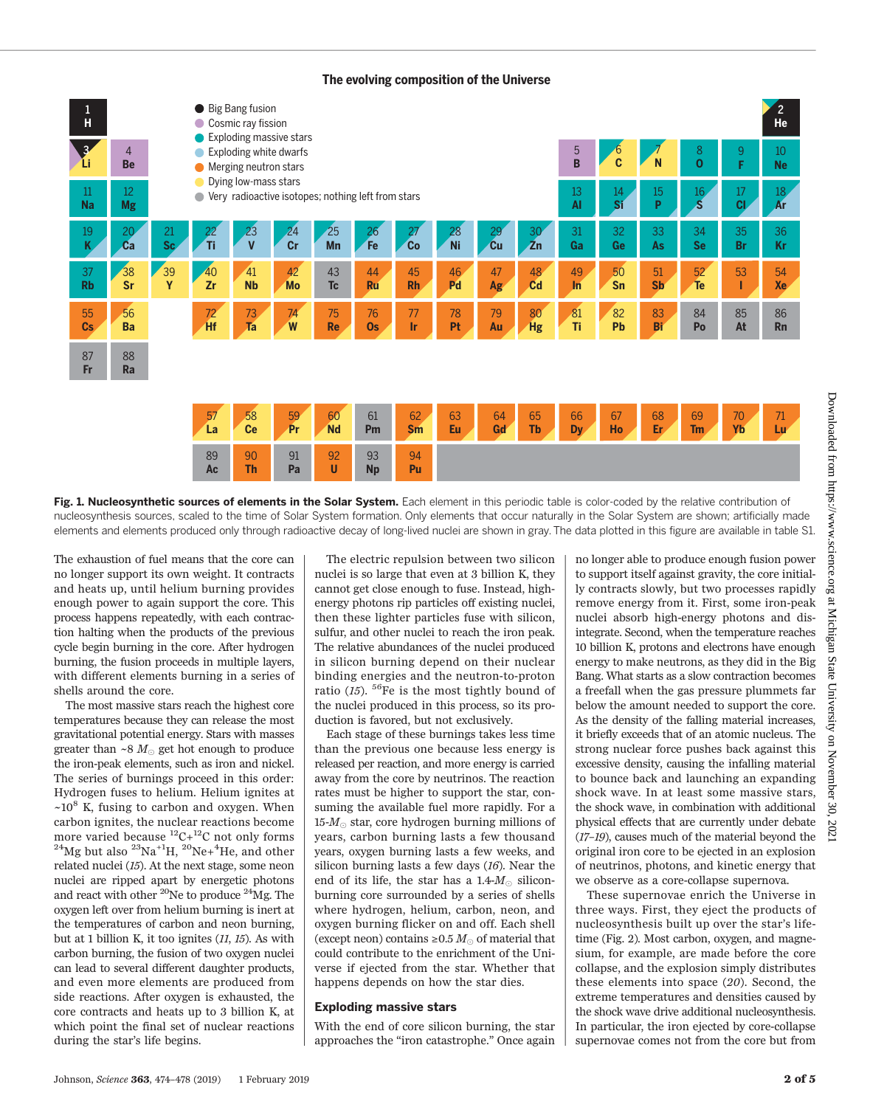#### **The evolving composition of the Universe**



Fig. 1. Nucleosynthetic sources of elements in the Solar System. Each element in this periodic table is color-coded by the relative contribution of nucleosynthesis sources, scaled to the time of Solar System formation. Only elements that occur naturally in the Solar System are shown; artificially made elements and elements produced only through radioactive decay of long-lived nuclei are shown in gray. The data plotted in this figure are available in table S1.

The exhaustion of fuel means that the core can no longer support its own weight. It contracts and heats up, until helium burning provides enough power to again support the core. This process happens repeatedly, with each contraction halting when the products of the previous cycle begin burning in the core. After hydrogen burning, the fusion proceeds in multiple layers, with different elements burning in a series of shells around the core.

The most massive stars reach the highest core temperatures because they can release the most gravitational potential energy. Stars with masses greater than ~8  $M_{\odot}$  get hot enough to produce the iron-peak elements, such as iron and nickel. The series of burnings proceed in this order: Hydrogen fuses to helium. Helium ignites at  $\sim 10^8$  K, fusing to carbon and oxygen. When carbon ignites, the nuclear reactions become more varied because  ${}^{12}C+{}^{12}C$  not only forms <sup>24</sup>Mg but also <sup>23</sup>Na<sup>+1</sup>H, <sup>20</sup>Ne+<sup>4</sup>He, and other related nuclei (15). At the next stage, some neon nuclei are ripped apart by energetic photons and react with other 20Ne to produce 24Mg. The oxygen left over from helium burning is inert at the temperatures of carbon and neon burning, but at 1 billion K, it too ignites (11, 15). As with carbon burning, the fusion of two oxygen nuclei can lead to several different daughter products, and even more elements are produced from side reactions. After oxygen is exhausted, the core contracts and heats up to 3 billion K, at which point the final set of nuclear reactions during the star's life begins.

The electric repulsion between two silicon nuclei is so large that even at 3 billion K, they cannot get close enough to fuse. Instead, highenergy photons rip particles off existing nuclei, then these lighter particles fuse with silicon, sulfur, and other nuclei to reach the iron peak. The relative abundances of the nuclei produced in silicon burning depend on their nuclear binding energies and the neutron-to-proton ratio (15).  ${}^{56}$ Fe is the most tightly bound of the nuclei produced in this process, so its production is favored, but not exclusively.

Each stage of these burnings takes less time than the previous one because less energy is released per reaction, and more energy is carried away from the core by neutrinos. The reaction rates must be higher to support the star, consuming the available fuel more rapidly. For a  $15-M<sub>°</sub>$  star, core hydrogen burning millions of years, carbon burning lasts a few thousand years, oxygen burning lasts a few weeks, and silicon burning lasts a few days  $(16)$ . Near the end of its life, the star has a 1.4- $M_{\odot}$  siliconburning core surrounded by a series of shells where hydrogen, helium, carbon, neon, and oxygen burning flicker on and off. Each shell (except neon) contains  $\geq 0.5 M_{\odot}$  of material that could contribute to the enrichment of the Universe if ejected from the star. Whether that happens depends on how the star dies.

#### Exploding massive stars

With the end of core silicon burning, the star approaches the "iron catastrophe." Once again no longer able to produce enough fusion power to support itself against gravity, the core initially contracts slowly, but two processes rapidly remove energy from it. First, some iron-peak nuclei absorb high-energy photons and disintegrate. Second, when the temperature reaches 10 billion K, protons and electrons have enough energy to make neutrons, as they did in the Big Bang. What starts as a slow contraction becomes a freefall when the gas pressure plummets far below the amount needed to support the core. As the density of the falling material increases, it briefly exceeds that of an atomic nucleus. The strong nuclear force pushes back against this excessive density, causing the infalling material to bounce back and launching an expanding shock wave. In at least some massive stars, the shock wave, in combination with additional physical effects that are currently under debate (17–19), causes much of the material beyond the original iron core to be ejected in an explosion of neutrinos, photons, and kinetic energy that we observe as a core-collapse supernova.

These supernovae enrich the Universe in three ways. First, they eject the products of nucleosynthesis built up over the star's lifetime (Fig. 2). Most carbon, oxygen, and magnesium, for example, are made before the core collapse, and the explosion simply distributes these elements into space (20). Second, the extreme temperatures and densities caused by the shock wave drive additional nucleosynthesis. In particular, the iron ejected by core-collapse supernovae comes not from the core but from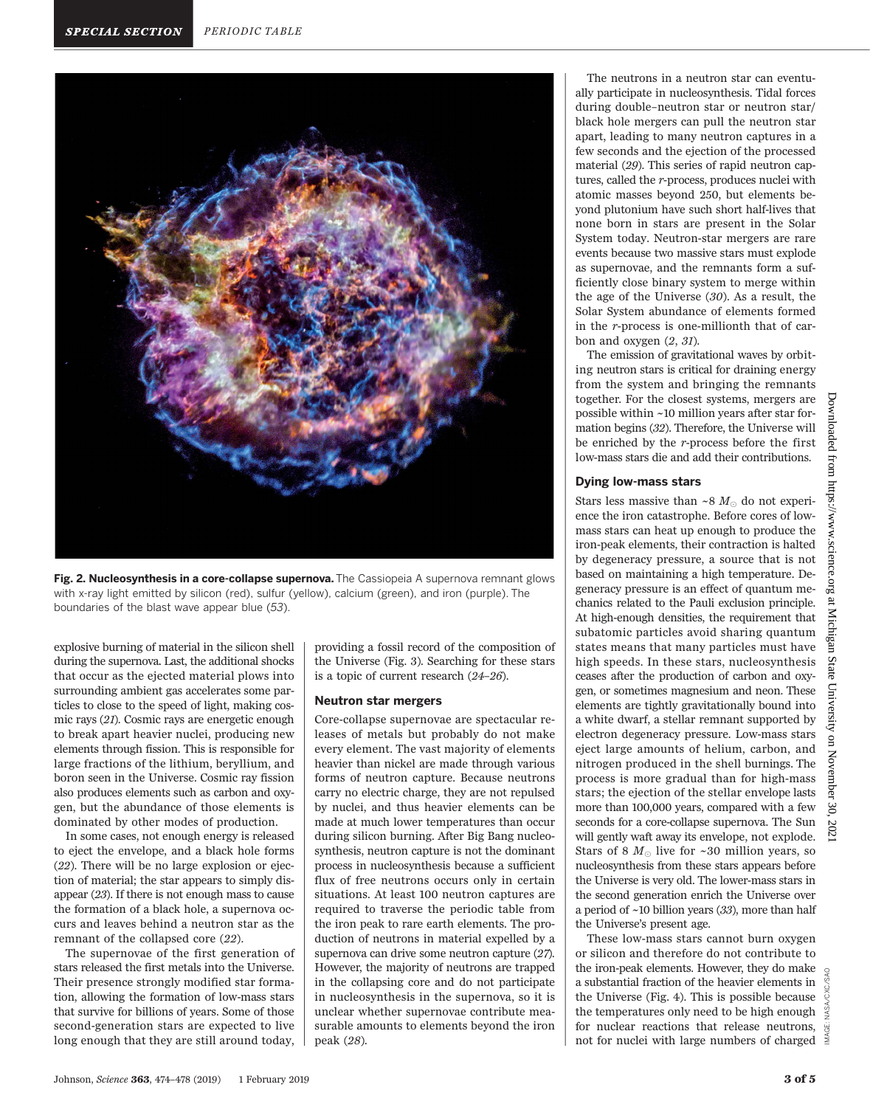

Fig. 2. Nucleosynthesis in a core-collapse supernova. The Cassiopeia A supernova remnant glows with x-ray light emitted by silicon (red), sulfur (yellow), calcium (green), and iron (purple). The boundaries of the blast wave appear blue (53).

explosive burning of material in the silicon shell during the supernova. Last, the additional shocks that occur as the ejected material plows into surrounding ambient gas accelerates some particles to close to the speed of light, making cosmic rays (21). Cosmic rays are energetic enough to break apart heavier nuclei, producing new elements through fission. This is responsible for large fractions of the lithium, beryllium, and boron seen in the Universe. Cosmic ray fission also produces elements such as carbon and oxygen, but the abundance of those elements is dominated by other modes of production.

In some cases, not enough energy is released to eject the envelope, and a black hole forms (22). There will be no large explosion or ejection of material; the star appears to simply disappear (23). If there is not enough mass to cause the formation of a black hole, a supernova occurs and leaves behind a neutron star as the remnant of the collapsed core (22).

The supernovae of the first generation of stars released the first metals into the Universe. Their presence strongly modified star formation, allowing the formation of low-mass stars that survive for billions of years. Some of those second-generation stars are expected to live long enough that they are still around today,

providing a fossil record of the composition of the Universe (Fig. 3). Searching for these stars is a topic of current research (24–26).

#### Neutron star mergers

Core-collapse supernovae are spectacular releases of metals but probably do not make every element. The vast majority of elements heavier than nickel are made through various forms of neutron capture. Because neutrons carry no electric charge, they are not repulsed by nuclei, and thus heavier elements can be made at much lower temperatures than occur during silicon burning. After Big Bang nucleosynthesis, neutron capture is not the dominant process in nucleosynthesis because a sufficient flux of free neutrons occurs only in certain situations. At least 100 neutron captures are required to traverse the periodic table from the iron peak to rare earth elements. The production of neutrons in material expelled by a supernova can drive some neutron capture (27). However, the majority of neutrons are trapped in the collapsing core and do not participate in nucleosynthesis in the supernova, so it is unclear whether supernovae contribute measurable amounts to elements beyond the iron peak (28).

The neutrons in a neutron star can eventually participate in nucleosynthesis. Tidal forces during double–neutron star or neutron star/ black hole mergers can pull the neutron star apart, leading to many neutron captures in a few seconds and the ejection of the processed material (29). This series of rapid neutron captures, called the r-process, produces nuclei with atomic masses beyond 250, but elements beyond plutonium have such short half-lives that none born in stars are present in the Solar System today. Neutron-star mergers are rare events because two massive stars must explode as supernovae, and the remnants form a sufficiently close binary system to merge within the age of the Universe (30). As a result, the Solar System abundance of elements formed in the r-process is one-millionth that of carbon and oxygen (2, 31).

The emission of gravitational waves by orbiting neutron stars is critical for draining energy from the system and bringing the remnants together. For the closest systems, mergers are possible within ~10 million years after star formation begins (32). Therefore, the Universe will be enriched by the r-process before the first low-mass stars die and add their contributions.

#### Dying low-mass stars

Stars less massive than ~8  $M_{\odot}$  do not experience the iron catastrophe. Before cores of lowmass stars can heat up enough to produce the iron-peak elements, their contraction is halted by degeneracy pressure, a source that is not based on maintaining a high temperature. Degeneracy pressure is an effect of quantum mechanics related to the Pauli exclusion principle. At high-enough densities, the requirement that subatomic particles avoid sharing quantum states means that many particles must have high speeds. In these stars, nucleosynthesis ceases after the production of carbon and oxygen, or sometimes magnesium and neon. These elements are tightly gravitationally bound into a white dwarf, a stellar remnant supported by electron degeneracy pressure. Low-mass stars eject large amounts of helium, carbon, and nitrogen produced in the shell burnings. The process is more gradual than for high-mass stars; the ejection of the stellar envelope lasts more than 100,000 years, compared with a few seconds for a core-collapse supernova. The Sun will gently waft away its envelope, not explode. Stars of 8  $M_{\odot}$  live for ~30 million years, so nucleosynthesis from these stars appears before the Universe is very old. The lower-mass stars in the second generation enrich the Universe over a period of ~10 billion years (33), more than half the Universe's present age.

These low-mass stars cannot burn oxygen or silicon and therefore do not contribute to the iron-peak elements. However, they do make a substantial fraction of the heavier elements in the Universe (Fig. 4). This is possible because the temperatures only need to be high enough for nuclear reactions that release neutrons, MAGE: not for nuclei with large numbers of charged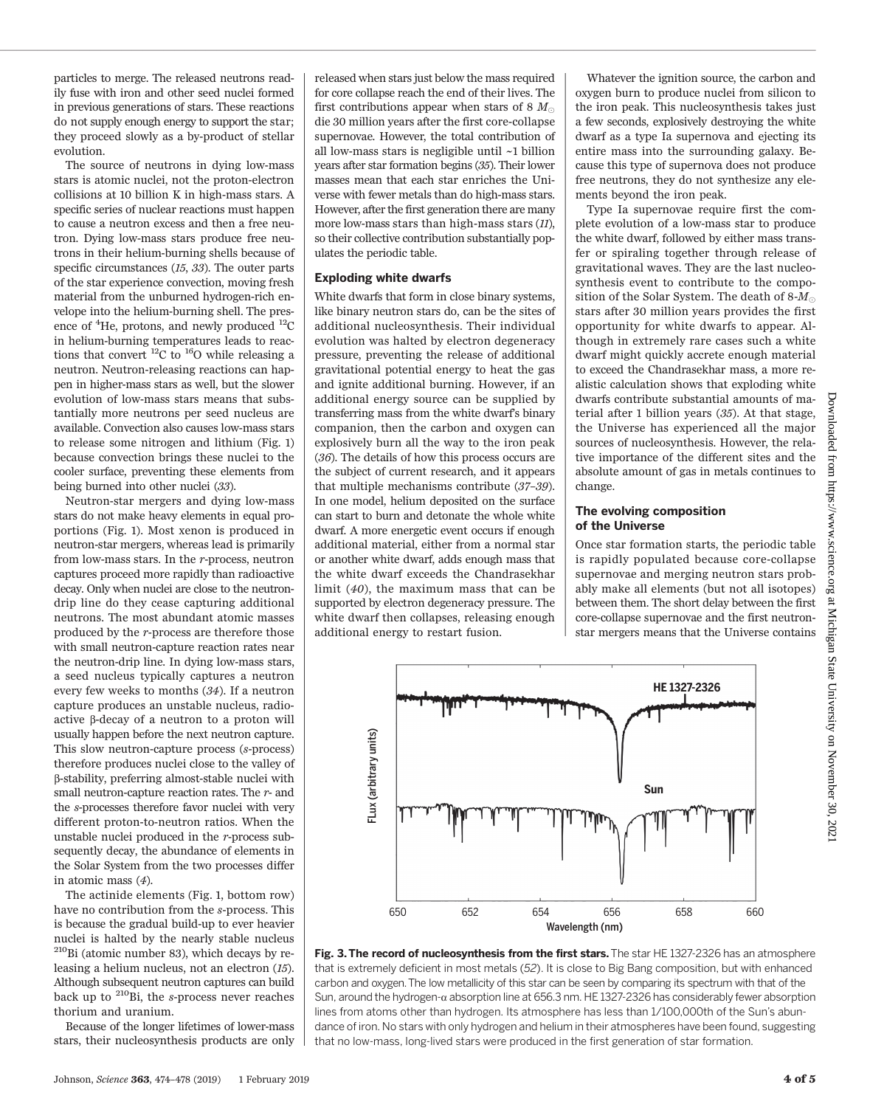particles to merge. The released neutrons readily fuse with iron and other seed nuclei formed in previous generations of stars. These reactions do not supply enough energy to support the star; they proceed slowly as a by-product of stellar evolution.

The source of neutrons in dying low-mass stars is atomic nuclei, not the proton-electron collisions at 10 billion K in high-mass stars. A specific series of nuclear reactions must happen to cause a neutron excess and then a free neutron. Dying low-mass stars produce free neutrons in their helium-burning shells because of specific circumstances (15, 33). The outer parts of the star experience convection, moving fresh material from the unburned hydrogen-rich envelope into the helium-burning shell. The presence of <sup>4</sup>He, protons, and newly produced <sup>12</sup>C in helium-burning temperatures leads to reactions that convert  ${}^{12}C$  to  ${}^{16}O$  while releasing a neutron. Neutron-releasing reactions can happen in higher-mass stars as well, but the slower evolution of low-mass stars means that substantially more neutrons per seed nucleus are available. Convection also causes low-mass stars to release some nitrogen and lithium (Fig. 1) because convection brings these nuclei to the cooler surface, preventing these elements from being burned into other nuclei (33).

Neutron-star mergers and dying low-mass stars do not make heavy elements in equal proportions (Fig. 1). Most xenon is produced in neutron-star mergers, whereas lead is primarily from low-mass stars. In the r-process, neutron captures proceed more rapidly than radioactive decay. Only when nuclei are close to the neutrondrip line do they cease capturing additional neutrons. The most abundant atomic masses produced by the r-process are therefore those with small neutron-capture reaction rates near the neutron-drip line. In dying low-mass stars, a seed nucleus typically captures a neutron every few weeks to months (34). If a neutron capture produces an unstable nucleus, radioactive  $\beta$ -decay of a neutron to a proton will usually happen before the next neutron capture. This slow neutron-capture process (s-process) therefore produces nuclei close to the valley of b-stability, preferring almost-stable nuclei with small neutron-capture reaction rates. The r- and the s-processes therefore favor nuclei with very different proton-to-neutron ratios. When the unstable nuclei produced in the r-process subsequently decay, the abundance of elements in the Solar System from the two processes differ in atomic mass (4).

The actinide elements (Fig. 1, bottom row) have no contribution from the s-process. This is because the gradual build-up to ever heavier nuclei is halted by the nearly stable nucleus 210Bi (atomic number 83), which decays by releasing a helium nucleus, not an electron (15). Although subsequent neutron captures can build back up to  $^{210}$ Bi, the s-process never reaches thorium and uranium.

Because of the longer lifetimes of lower-mass stars, their nucleosynthesis products are only

released when stars just below the mass required for core collapse reach the end of their lives. The first contributions appear when stars of 8  $M_{\odot}$ die 30 million years after the first core-collapse supernovae. However, the total contribution of all low-mass stars is negligible until ~1 billion years after star formation begins (35). Their lower masses mean that each star enriches the Universe with fewer metals than do high-mass stars. However, after the first generation there are many more low-mass stars than high-mass stars (11), so their collective contribution substantially populates the periodic table.

#### Exploding white dwarfs

White dwarfs that form in close binary systems, like binary neutron stars do, can be the sites of additional nucleosynthesis. Their individual evolution was halted by electron degeneracy pressure, preventing the release of additional gravitational potential energy to heat the gas and ignite additional burning. However, if an additional energy source can be supplied by transferring mass from the white dwarf's binary companion, then the carbon and oxygen can explosively burn all the way to the iron peak (36). The details of how this process occurs are the subject of current research, and it appears that multiple mechanisms contribute (37–39). In one model, helium deposited on the surface can start to burn and detonate the whole white dwarf. A more energetic event occurs if enough additional material, either from a normal star or another white dwarf, adds enough mass that the white dwarf exceeds the Chandrasekhar limit (40), the maximum mass that can be supported by electron degeneracy pressure. The white dwarf then collapses, releasing enough additional energy to restart fusion.

Whatever the ignition source, the carbon and oxygen burn to produce nuclei from silicon to the iron peak. This nucleosynthesis takes just a few seconds, explosively destroying the white dwarf as a type Ia supernova and ejecting its entire mass into the surrounding galaxy. Because this type of supernova does not produce free neutrons, they do not synthesize any elements beyond the iron peak.

Type Ia supernovae require first the complete evolution of a low-mass star to produce the white dwarf, followed by either mass transfer or spiraling together through release of gravitational waves. They are the last nucleosynthesis event to contribute to the composition of the Solar System. The death of  $8-M_{\odot}$ stars after 30 million years provides the first opportunity for white dwarfs to appear. Although in extremely rare cases such a white dwarf might quickly accrete enough material to exceed the Chandrasekhar mass, a more realistic calculation shows that exploding white dwarfs contribute substantial amounts of material after 1 billion years (35). At that stage, the Universe has experienced all the major sources of nucleosynthesis. However, the relative importance of the different sites and the absolute amount of gas in metals continues to change.

#### The evolving composition of the Universe

Once star formation starts, the periodic table is rapidly populated because core-collapse supernovae and merging neutron stars probably make all elements (but not all isotopes) between them. The short delay between the first core-collapse supernovae and the first neutronstar mergers means that the Universe contains



Fig. 3. The record of nucleosynthesis from the first stars. The star HE 1327-2326 has an atmosphere that is extremely deficient in most metals (52). It is close to Big Bang composition, but with enhanced carbon and oxygen.The low metallicity of this star can be seen by comparing its spectrum with that of the Sun, around the hydrogen-a absorption line at 656.3 nm. HE 1327-2326 has considerably fewer absorption lines from atoms other than hydrogen. Its atmosphere has less than 1/100,000th of the Sun's abundance of iron. No stars with only hydrogen and helium in their atmospheres have been found, suggesting that no low-mass, long-lived stars were produced in the first generation of star formation.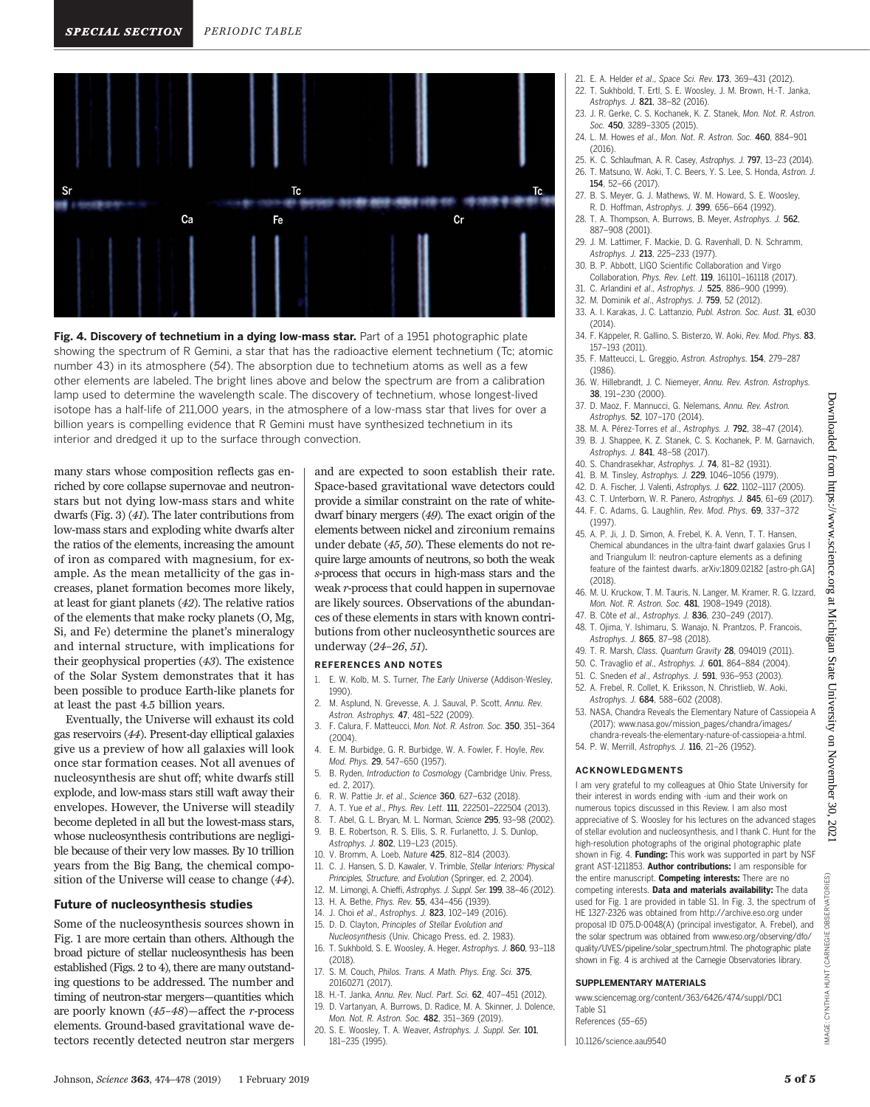

Fig. 4. Discovery of technetium in a dying low-mass star. Part of a 1951 photographic plate showing the spectrum of R Gemini, a star that has the radioactive element technetium (Tc; atomic number 43) in its atmosphere (54). The absorption due to technetium atoms as well as a few other elements are labeled. The bright lines above and below the spectrum are from a calibration lamp used to determine the wavelength scale. The discovery of technetium, whose longest-lived isotope has a half-life of 211,000 years, in the atmosphere of a low-mass star that lives for over a billion years is compelling evidence that R Gemini must have synthesized technetium in its interior and dredged it up to the surface through convection.

many stars whose composition reflects gas enriched by core collapse supernovae and neutronstars but not dying low-mass stars and white dwarfs (Fig. 3) (41). The later contributions from low-mass stars and exploding white dwarfs alter the ratios of the elements, increasing the amount of iron as compared with magnesium, for example. As the mean metallicity of the gas increases, planet formation becomes more likely, at least for giant planets (42). The relative ratios of the elements that make rocky planets (O, Mg, Si, and Fe) determine the planet's mineralogy and internal structure, with implications for their geophysical properties (43). The existence of the Solar System demonstrates that it has been possible to produce Earth-like planets for at least the past 4.5 billion years.

Eventually, the Universe will exhaust its cold gas reservoirs (44). Present-day elliptical galaxies give us a preview of how all galaxies will look once star formation ceases. Not all avenues of nucleosynthesis are shut off; white dwarfs still explode, and low-mass stars still waft away their envelopes. However, the Universe will steadily become depleted in all but the lowest-mass stars, whose nucleosynthesis contributions are negligible because of their very low masses. By 10 trillion years from the Big Bang, the chemical composition of the Universe will cease to change (44).

#### Future of nucleosynthesis studies

Some of the nucleosynthesis sources shown in Fig. 1 are more certain than others. Although the broad picture of stellar nucleosynthesis has been established (Figs. 2 to 4), there are many outstanding questions to be addressed. The number and timing of neutron-star mergers—quantities which are poorly known (45–48)—affect the r-process elements. Ground-based gravitational wave detectors recently detected neutron star mergers

and are expected to soon establish their rate. Space-based gravitational wave detectors could provide a similar constraint on the rate of whitedwarf binary mergers (49). The exact origin of the elements between nickel and zirconium remains under debate (45, 50). These elements do not require large amounts of neutrons, so both the weak s-process that occurs in high-mass stars and the weak r-process that could happen in supernovae are likely sources. Observations of the abundances of these elements in stars with known contributions from other nucleosynthetic sources are underway (24–26, 51).

#### REFERENCES AND NOTES

- 1. E. W. Kolb, M. S. Turner, The Early Universe (Addison-Wesley, 1990).
- 2. M. Asplund, N. Grevesse, A. J. Sauval, P. Scott, Annu. Rev. Astron. Astrophys. 47, 481–522 (2009).
- 3. F. Calura, F. Matteucci, Mon. Not. R. Astron. Soc. 350, 351–364 (2004).
- 4. E. M. Burbidge, G. R. Burbidge, W. A. Fowler, F. Hoyle, Rev. Mod. Phys. 29, 547–650 (1957).
- 5. B. Ryden, Introduction to Cosmology (Cambridge Univ. Press, ed. 2, 2017).
- 6. R. W. Pattie Jr. et al., Science 360, 627–632 (2018).
- 7. A. T. Yue et al., Phys. Rev. Lett. 111, 222501–222504 (2013).
- 8. T. Abel, G. L. Bryan, M. L. Norman, Science 295, 93–98 (2002).
- 9. B. E. Robertson, R. S. Ellis, S. R. Furlanetto, J. S. Dunlop,
- Astrophys. J. 802, L19–L23 (2015).
- 10. V. Bromm, A. Loeb, Nature 425, 812–814 (2003).
- 11. C. J. Hansen, S. D. Kawaler, V. Trimble, Stellar Interiors: Physical Principles, Structure, and Evolution (Springer, ed. 2, 2004).
- 12. M. Limongi, A. Chieffi, Astrophys. J. Suppl. Ser. 199, 38–46 (2012).
- 
- 15. D. D. Clayton, Principles of Stellar Evolution and
- 16. T. Sukhbold, S. E. Woosley, A. Heger, Astrophys. J. 860, 93–118 (2018).
- 17. S. M. Couch, Philos. Trans. A Math. Phys. Eng. Sci. 375, 20160271 (2017).
- 18. H.-T. Janka, Annu. Rev. Nucl. Part. Sci. 62, 407–451 (2012).
- 19. D. Vartanyan, A. Burrows, D. Radice, M. A. Skinner, J. Dolence, Mon. Not. R. Astron. Soc. 482, 351–369 (2019).
- 20. S. E. Woosley, T. A. Weaver, Astrophys. J. Suppl. Ser. 101, 181–235 (1995).
- 21. E. A. Helder et al., Space Sci. Rev. 173, 369–431 (2012).
- 22. T. Sukhbold, T. Ertl, S. E. Woosley, J. M. Brown, H.-T. Janka, Astrophys. J. 821, 38–82 (2016).
- 23. J. R. Gerke, C. S. Kochanek, K. Z. Stanek, Mon. Not. R. Astron. Soc. 450, 3289–3305 (2015).
- 24. L. M. Howes et al., Mon. Not. R. Astron. Soc. 460, 884–901 (2016).
- 25. K. C. Schlaufman, A. R. Casey, Astrophys. J. 797, 13–23 (2014). 26. T. Matsuno, W. Aoki, T. C. Beers, Y. S. Lee, S. Honda, Astron. J.
- 154, 52–66 (2017).
- 27. B. S. Meyer, G. J. Mathews, W. M. Howard, S. E. Woosley, R. D. Hoffman, Astrophys. J. 399, 656–664 (1992).
- 28. T. A. Thompson, A. Burrows, B. Meyer, Astrophys. J. 562, 887–908 (2001).
- 29. J. M. Lattimer, F. Mackie, D. G. Ravenhall, D. N. Schramm, Astrophys. J. 213, 225–233 (1977).
- 30. B. P. Abbott, LIGO Scientific Collaboration and Virgo Collaboration, Phys. Rev. Lett. 119, 161101–161118 (2017).
- 31. C. Arlandini et al., Astrophys. J. 525, 886–900 (1999).
- 32. M. Dominik et al., Astrophys. J. 759, 52 (2012).
- 33. A. I. Karakas, J. C. Lattanzio, Publ. Astron. Soc. Aust. 31, e030 (2014).
- 34. F. Käppeler, R. Gallino, S. Bisterzo, W. Aoki, Rev. Mod. Phys. 83, 157–193 (2011).
- 35. F. Matteucci, L. Greggio, Astron. Astrophys. 154, 279–287 (1986).
- 36. W. Hillebrandt, J. C. Niemeyer, Annu. Rev. Astron. Astrophys. 38, 191–230 (2000).
- 37. D. Maoz, F. Mannucci, G. Nelemans, Annu. Rev. Astron. Astrophys. 52, 107–170 (2014).
- 38. M. A. Pérez-Torres et al., Astrophys. J. 792, 38–47 (2014). 39. B. J. Shappee, K. Z. Stanek, C. S. Kochanek, P. M. Garnavich,
- Astrophys. J. 841, 48–58 (2017).
- 40. S. Chandrasekhar, Astrophys. J. 74, 81–82 (1931).
- 41. B. M. Tinsley, Astrophys. J. 229, 1046–1056 (1979).
- 42. D. A. Fischer, J. Valenti, Astrophys. J. 622, 1102–1117 (2005). 43. C. T. Unterborn, W. R. Panero, Astrophys. J. 845, 61–69 (2017).
- 44. F. C. Adams, G. Laughlin, Rev. Mod. Phys. 69, 337–372 (1997).
- 45. A. P. Ji, J. D. Simon, A. Frebel, K. A. Venn, T. T. Hansen, Chemical abundances in the ultra-faint dwarf galaxies Grus I and Triangulum II: neutron-capture elements as a defining feature of the faintest dwarfs. [arXiv:1809.02182](https://arxiv.org/abs/1809.02182) [astro-ph.GA] (2018).
- 46. M. U. Kruckow, T. M. Tauris, N. Langer, M. Kramer, R. G. Izzard, Mon. Not. R. Astron. Soc. 481, 1908–1949 (2018).
- 47. B. Côte et al., Astrophys. J. 836, 230–249 (2017). 48. T. Ojima, Y. Ishimaru, S. Wanajo, N. Prantzos, P. Francois, Astrophys. J. 865, 87–98 (2018).
- 49. T. R. Marsh, Class. Quantum Gravity 28, 094019 (2011).
- 50. C. Travaglio et al., Astrophys. J. 601, 864–884 (2004).
- 51. C. Sneden et al., Astrophys. J. 591, 936–953 (2003).
- 52. A. Frebel, R. Collet, K. Eriksson, N. Christlieb, W. Aoki, Astrophys. J. 684, 588–602 (2008).
- 53. NASA, Chandra Reveals the Elementary Nature of Cassiopeia A (2017); [www.nasa.gov/mission\\_pages/chandra/images/](http://www.nasa.gov/mission_pages/chandra/images/chandra-reveals-the-elementary-nature-of-cassiopeia-a.html) [chandra-reveals-the-elementary-nature-of-cassiopeia-a.html](http://www.nasa.gov/mission_pages/chandra/images/chandra-reveals-the-elementary-nature-of-cassiopeia-a.html)[.](http://.)
- 54. P. W. Merrill, Astrophys. J. 116, 21–26 (1952).

#### ACKNOWLEDGMENTS

I am very grateful to my colleagues at Ohio State University for their interest in words ending with -ium and their work on numerous topics discussed in this Review. I am also most appreciative of S. Woosley for his lectures on the advanced stages of stellar evolution and nucleosynthesis, and I thank C. Hunt for the high-resolution photographs of the original photographic plate shown in Fig. 4. Funding: This work was supported in part by NSF grant AST-1211853. Author contributions: I am responsible for the entire manuscript. Competing interests: There are no competing interests. Data and materials availability: The data used for Fig. 1 are provided in table S1. In Fig. 3, the spectrum of HE 1327-2326 was obtained from<http://archive.eso.org> under proposal ID 075.D-0048(A) (principal investigator, A. Frebel), and the solar spectrum was obtained from [www.eso.org/observing/dfo/](\\\\winshare1.ad.aaas.org\\edit\\shared\\COPYED\\WORKING FILES\\Chris Filiatreau\\2-1-2019-RV-Johnson-aau9540\\Copyedited files\\www.eso.org\\observing\\dfo\\quality\\UVES\\pipeline\\solar_spectrum.html) [quality/UVES/pipeline/solar\\_spectrum.html](\\\\winshare1.ad.aaas.org\\edit\\shared\\COPYED\\WORKING FILES\\Chris Filiatreau\\2-1-2019-RV-Johnson-aau9540\\Copyedited files\\www.eso.org\\observing\\dfo\\quality\\UVES\\pipeline\\solar_spectrum.html). The photographic plate shown in Fig. 4 is archived at the Carnegie Observatories library.

#### SUPPLEMENTARY MATERIALS

- [www.sciencemag.org/content/363/6426/474/suppl/DC1](http://www.sciencemag.org/content/363/6426/474/suppl/DC1) Table S1
- References (55–65)

10.1126/science.aau9540

**CARNEGIE** 

CYNTHIA HUNT

MAGE:

- 
- 
- 
- 13. H. A. Bethe, Phys. Rev. 55, 434–456 (1939).
- 14. J. Choi et al., Astrophys. J. 823, 102–149 (2016).
- Nucleosynthesis (Univ. Chicago Press, ed. 2, 1983).
-